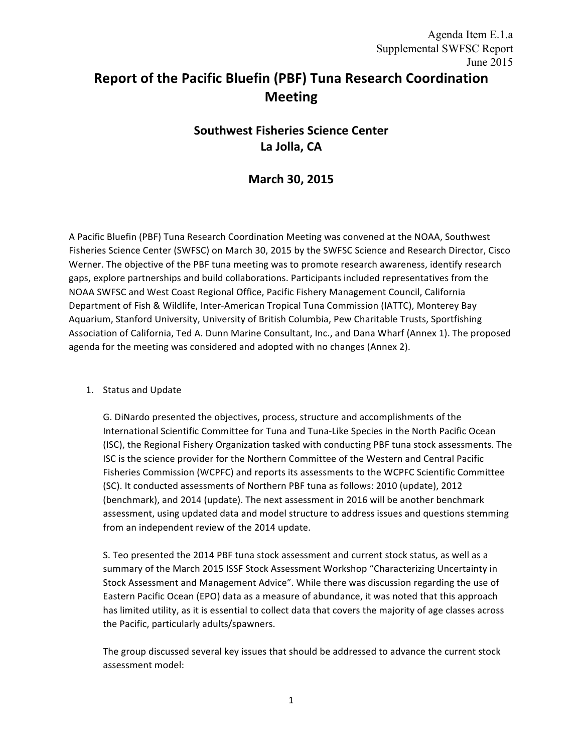# **Report of the Pacific Bluefin (PBF) Tuna Research Coordination Meeting**

# **Southwest Fisheries Science Center La Jolla, CA**

## **March 30, 2015**

A Pacific Bluefin (PBF) Tuna Research Coordination Meeting was convened at the NOAA, Southwest Fisheries Science Center (SWFSC) on March 30, 2015 by the SWFSC Science and Research Director, Cisco Werner. The objective of the PBF tuna meeting was to promote research awareness, identify research gaps, explore partnerships and build collaborations. Participants included representatives from the NOAA SWFSC and West Coast Regional Office, Pacific Fishery Management Council, California Department of Fish & Wildlife, Inter-American Tropical Tuna Commission (IATTC), Monterey Bay Aquarium, Stanford University, University of British Columbia, Pew Charitable Trusts, Sportfishing Association of California, Ted A. Dunn Marine Consultant, Inc., and Dana Wharf (Annex 1). The proposed agenda for the meeting was considered and adopted with no changes (Annex 2).

## 1. Status and Update

G. DiNardo presented the objectives, process, structure and accomplishments of the International Scientific Committee for Tuna and Tuna-Like Species in the North Pacific Ocean (ISC), the Regional Fishery Organization tasked with conducting PBF tuna stock assessments. The ISC is the science provider for the Northern Committee of the Western and Central Pacific Fisheries Commission (WCPFC) and reports its assessments to the WCPFC Scientific Committee (SC). It conducted assessments of Northern PBF tuna as follows: 2010 (update), 2012 (benchmark), and 2014 (update). The next assessment in 2016 will be another benchmark assessment, using updated data and model structure to address issues and questions stemming from an independent review of the 2014 update.

S. Teo presented the 2014 PBF tuna stock assessment and current stock status, as well as a summary of the March 2015 ISSF Stock Assessment Workshop "Characterizing Uncertainty in Stock Assessment and Management Advice". While there was discussion regarding the use of Eastern Pacific Ocean (EPO) data as a measure of abundance, it was noted that this approach has limited utility, as it is essential to collect data that covers the majority of age classes across the Pacific, particularly adults/spawners.

The group discussed several key issues that should be addressed to advance the current stock assessment model: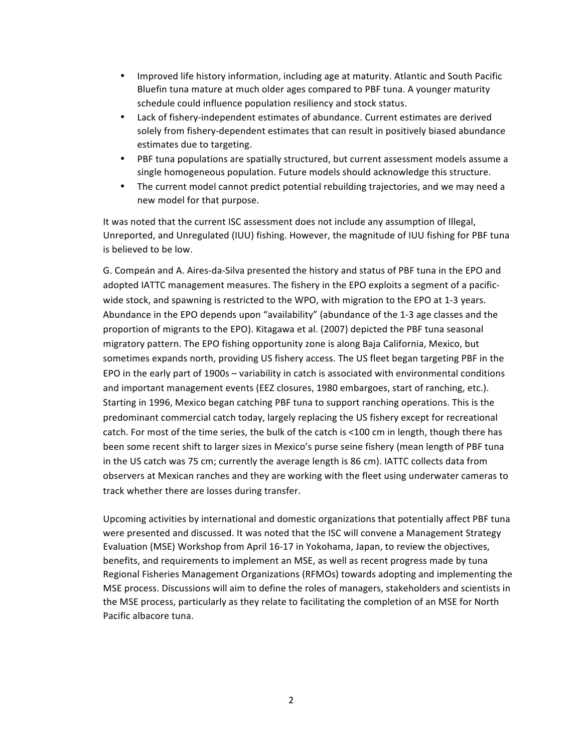- Improved life history information, including age at maturity. Atlantic and South Pacific Bluefin tuna mature at much older ages compared to PBF tuna. A younger maturity schedule could influence population resiliency and stock status.
- Lack of fishery-independent estimates of abundance. Current estimates are derived solely from fishery-dependent estimates that can result in positively biased abundance estimates due to targeting.
- PBF tuna populations are spatially structured, but current assessment models assume a single homogeneous population. Future models should acknowledge this structure.
- The current model cannot predict potential rebuilding trajectories, and we may need a new model for that purpose.

It was noted that the current ISC assessment does not include any assumption of Illegal, Unreported, and Unregulated (IUU) fishing. However, the magnitude of IUU fishing for PBF tuna is believed to be low.

G. Compeán and A. Aires-da-Silva presented the history and status of PBF tuna in the EPO and adopted IATTC management measures. The fishery in the EPO exploits a segment of a pacificwide stock, and spawning is restricted to the WPO, with migration to the EPO at 1-3 years. Abundance in the EPO depends upon "availability" (abundance of the 1-3 age classes and the proportion of migrants to the EPO). Kitagawa et al. (2007) depicted the PBF tuna seasonal migratory pattern. The EPO fishing opportunity zone is along Baja California, Mexico, but sometimes expands north, providing US fishery access. The US fleet began targeting PBF in the EPO in the early part of 1900s – variability in catch is associated with environmental conditions and important management events (EEZ closures, 1980 embargoes, start of ranching, etc.). Starting in 1996, Mexico began catching PBF tuna to support ranching operations. This is the predominant commercial catch today, largely replacing the US fishery except for recreational catch. For most of the time series, the bulk of the catch is <100 cm in length, though there has been some recent shift to larger sizes in Mexico's purse seine fishery (mean length of PBF tuna in the US catch was 75 cm; currently the average length is 86 cm). IATTC collects data from observers at Mexican ranches and they are working with the fleet using underwater cameras to track whether there are losses during transfer.

Upcoming activities by international and domestic organizations that potentially affect PBF tuna were presented and discussed. It was noted that the ISC will convene a Management Strategy Evaluation (MSE) Workshop from April 16-17 in Yokohama, Japan, to review the objectives, benefits, and requirements to implement an MSE, as well as recent progress made by tuna Regional Fisheries Management Organizations (RFMOs) towards adopting and implementing the MSE process. Discussions will aim to define the roles of managers, stakeholders and scientists in the MSE process, particularly as they relate to facilitating the completion of an MSE for North Pacific albacore tuna.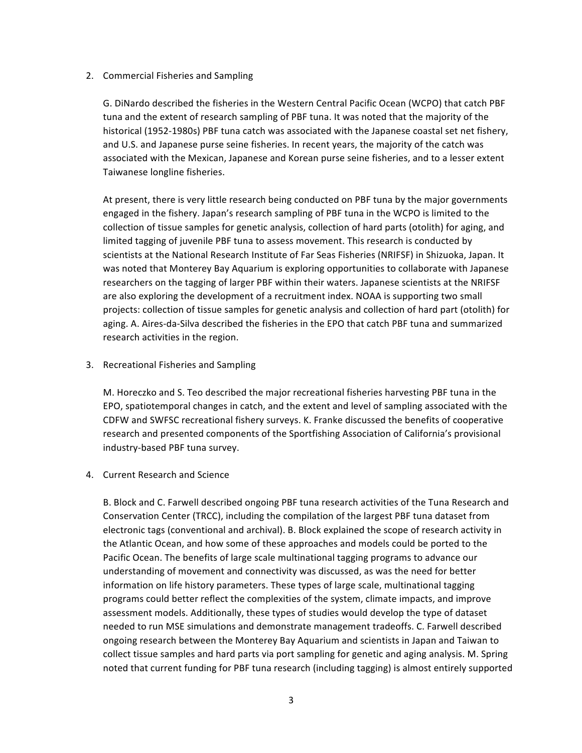## 2. Commercial Fisheries and Sampling

G. DiNardo described the fisheries in the Western Central Pacific Ocean (WCPO) that catch PBF tuna and the extent of research sampling of PBF tuna. It was noted that the majority of the historical (1952-1980s) PBF tuna catch was associated with the Japanese coastal set net fishery, and U.S. and Japanese purse seine fisheries. In recent years, the majority of the catch was associated with the Mexican, Japanese and Korean purse seine fisheries, and to a lesser extent Taiwanese longline fisheries.

At present, there is very little research being conducted on PBF tuna by the major governments engaged in the fishery. Japan's research sampling of PBF tuna in the WCPO is limited to the collection of tissue samples for genetic analysis, collection of hard parts (otolith) for aging, and limited tagging of juvenile PBF tuna to assess movement. This research is conducted by scientists at the National Research Institute of Far Seas Fisheries (NRIFSF) in Shizuoka, Japan. It was noted that Monterey Bay Aquarium is exploring opportunities to collaborate with Japanese researchers on the tagging of larger PBF within their waters. Japanese scientists at the NRIFSF are also exploring the development of a recruitment index. NOAA is supporting two small projects: collection of tissue samples for genetic analysis and collection of hard part (otolith) for aging. A. Aires-da-Silva described the fisheries in the EPO that catch PBF tuna and summarized research activities in the region.

## 3. Recreational Fisheries and Sampling

M. Horeczko and S. Teo described the major recreational fisheries harvesting PBF tuna in the EPO, spatiotemporal changes in catch, and the extent and level of sampling associated with the CDFW and SWFSC recreational fishery surveys. K. Franke discussed the benefits of cooperative research and presented components of the Sportfishing Association of California's provisional industry-based PBF tuna survey.

## 4. Current Research and Science

B. Block and C. Farwell described ongoing PBF tuna research activities of the Tuna Research and Conservation Center (TRCC), including the compilation of the largest PBF tuna dataset from electronic tags (conventional and archival). B. Block explained the scope of research activity in the Atlantic Ocean, and how some of these approaches and models could be ported to the Pacific Ocean. The benefits of large scale multinational tagging programs to advance our understanding of movement and connectivity was discussed, as was the need for better information on life history parameters. These types of large scale, multinational tagging programs could better reflect the complexities of the system, climate impacts, and improve assessment models. Additionally, these types of studies would develop the type of dataset needed to run MSE simulations and demonstrate management tradeoffs. C. Farwell described ongoing research between the Monterey Bay Aquarium and scientists in Japan and Taiwan to collect tissue samples and hard parts via port sampling for genetic and aging analysis. M. Spring noted that current funding for PBF tuna research (including tagging) is almost entirely supported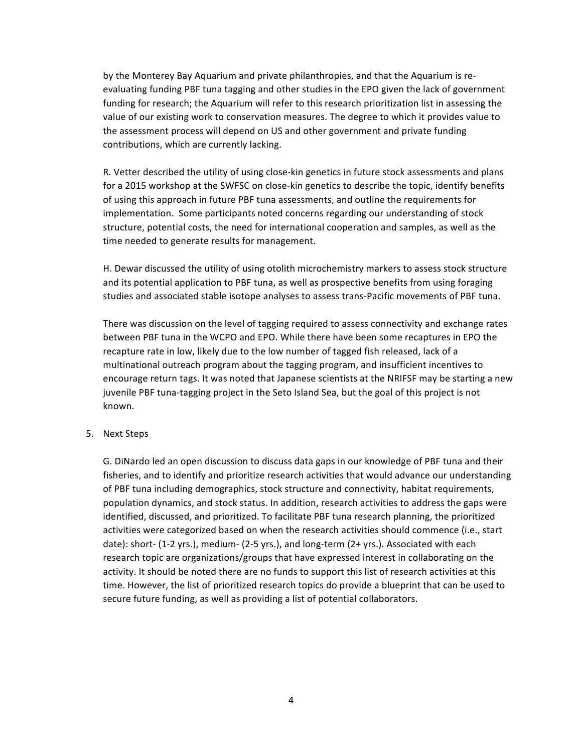by the Monterey Bay Aquarium and private philanthropies, and that the Aquarium is reevaluating funding PBF tuna tagging and other studies in the EPO given the lack of government funding for research; the Aquarium will refer to this research prioritization list in assessing the value of our existing work to conservation measures. The degree to which it provides value to the assessment process will depend on US and other government and private funding contributions, which are currently lacking.

R. Vetter described the utility of using close-kin genetics in future stock assessments and plans for a 2015 workshop at the SWFSC on close-kin genetics to describe the topic, identify benefits of using this approach in future PBF tuna assessments, and outline the requirements for implementation. Some participants noted concerns regarding our understanding of stock structure, potential costs, the need for international cooperation and samples, as well as the time needed to generate results for management.

H. Dewar discussed the utility of using otolith microchemistry markers to assess stock structure and its potential application to PBF tuna, as well as prospective benefits from using foraging studies and associated stable isotope analyses to assess trans-Pacific movements of PBF tuna.

There was discussion on the level of tagging required to assess connectivity and exchange rates between PBF tuna in the WCPO and EPO. While there have been some recaptures in EPO the recapture rate in low, likely due to the low number of tagged fish released, lack of a multinational outreach program about the tagging program, and insufficient incentives to encourage return tags. It was noted that Japanese scientists at the NRIFSF may be starting a new juvenile PBF tuna-tagging project in the Seto Island Sea, but the goal of this project is not known.

## 5. Next Steps

G. DiNardo led an open discussion to discuss data gaps in our knowledge of PBF tuna and their fisheries, and to identify and prioritize research activities that would advance our understanding of PBF tuna including demographics, stock structure and connectivity, habitat requirements, population dynamics, and stock status. In addition, research activities to address the gaps were identified, discussed, and prioritized. To facilitate PBF tuna research planning, the prioritized activities were categorized based on when the research activities should commence (i.e., start date): short- (1-2 yrs.), medium- (2-5 yrs.), and long-term (2+ yrs.). Associated with each research topic are organizations/groups that have expressed interest in collaborating on the activity. It should be noted there are no funds to support this list of research activities at this time. However, the list of prioritized research topics do provide a blueprint that can be used to secure future funding, as well as providing a list of potential collaborators.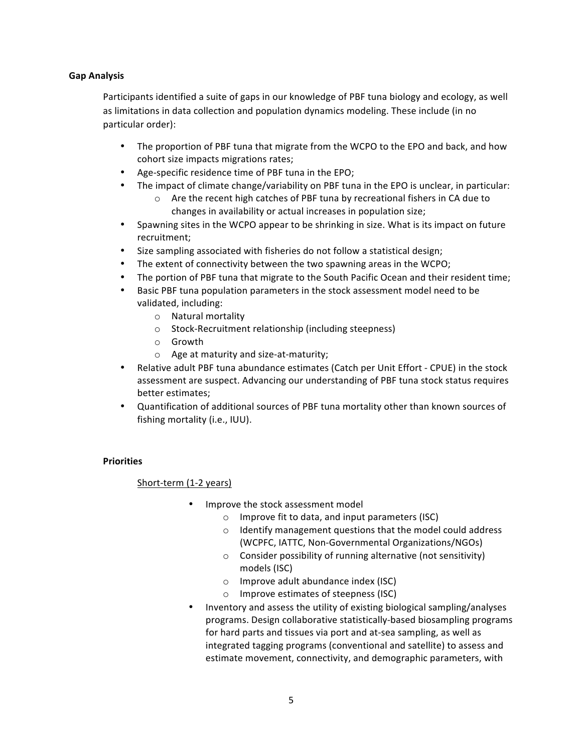## **Gap Analysis**

Participants identified a suite of gaps in our knowledge of PBF tuna biology and ecology, as well as limitations in data collection and population dynamics modeling. These include (in no particular order):

- The proportion of PBF tuna that migrate from the WCPO to the EPO and back, and how cohort size impacts migrations rates;
- Age-specific residence time of PBF tuna in the EPO;
- The impact of climate change/variability on PBF tuna in the EPO is unclear, in particular:
	- $\circ$  Are the recent high catches of PBF tuna by recreational fishers in CA due to changes in availability or actual increases in population size;
- Spawning sites in the WCPO appear to be shrinking in size. What is its impact on future recruitment;
- Size sampling associated with fisheries do not follow a statistical design;
- The extent of connectivity between the two spawning areas in the WCPO;
- The portion of PBF tuna that migrate to the South Pacific Ocean and their resident time;
- Basic PBF tuna population parameters in the stock assessment model need to be validated, including:
	- $\circ$  Natural mortality
	- o Stock-Recruitment relationship (including steepness)
	- o Growth
	- $\circ$  Age at maturity and size-at-maturity;
- Relative adult PBF tuna abundance estimates (Catch per Unit Effort CPUE) in the stock assessment are suspect. Advancing our understanding of PBF tuna stock status requires better estimates;
- Quantification of additional sources of PBF tuna mortality other than known sources of fishing mortality (i.e., IUU).

#### **Priorities**

Short-term (1-2 years)

- Improve the stock assessment model
	- $\circ$  Improve fit to data, and input parameters (ISC)
	- $\circ$  Identify management questions that the model could address (WCPFC, IATTC, Non-Governmental Organizations/NGOs)
	- $\circ$  Consider possibility of running alternative (not sensitivity) models (ISC)
	- $\circ$  Improve adult abundance index (ISC)
	- o Improve estimates of steepness (ISC)
- Inventory and assess the utility of existing biological sampling/analyses programs. Design collaborative statistically-based biosampling programs for hard parts and tissues via port and at-sea sampling, as well as integrated tagging programs (conventional and satellite) to assess and estimate movement, connectivity, and demographic parameters, with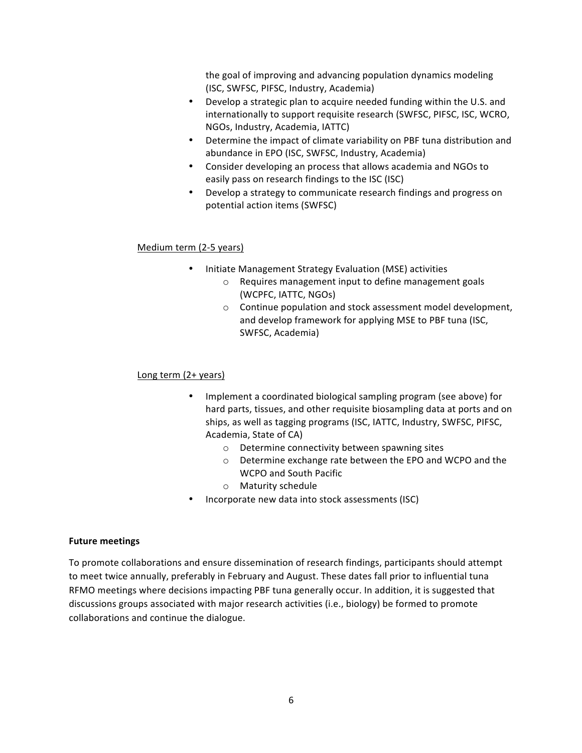the goal of improving and advancing population dynamics modeling (ISC, SWFSC, PIFSC, Industry, Academia)

- Develop a strategic plan to acquire needed funding within the U.S. and internationally to support requisite research (SWFSC, PIFSC, ISC, WCRO, NGOs, Industry, Academia, IATTC)
- Determine the impact of climate variability on PBF tuna distribution and abundance in EPO (ISC, SWFSC, Industry, Academia)
- Consider developing an process that allows academia and NGOs to easily pass on research findings to the ISC (ISC)
- Develop a strategy to communicate research findings and progress on potential action items (SWFSC)

## Medium term (2-5 years)

- Initiate Management Strategy Evaluation (MSE) activities
	- $\circ$  Requires management input to define management goals (WCPFC, IATTC, NGOs)
	- $\circ$  Continue population and stock assessment model development, and develop framework for applying MSE to PBF tuna (ISC, SWFSC, Academia)

## Long term  $(2 + \gamma ears)$

- Implement a coordinated biological sampling program (see above) for hard parts, tissues, and other requisite biosampling data at ports and on ships, as well as tagging programs (ISC, IATTC, Industry, SWFSC, PIFSC, Academia, State of CA)
	- $\circ$  Determine connectivity between spawning sites
	- o Determine exchange rate between the EPO and WCPO and the WCPO and South Pacific
	- o Maturity schedule
- Incorporate new data into stock assessments (ISC)

## **Future meetings**

To promote collaborations and ensure dissemination of research findings, participants should attempt to meet twice annually, preferably in February and August. These dates fall prior to influential tuna RFMO meetings where decisions impacting PBF tuna generally occur. In addition, it is suggested that discussions groups associated with major research activities (i.e., biology) be formed to promote collaborations and continue the dialogue.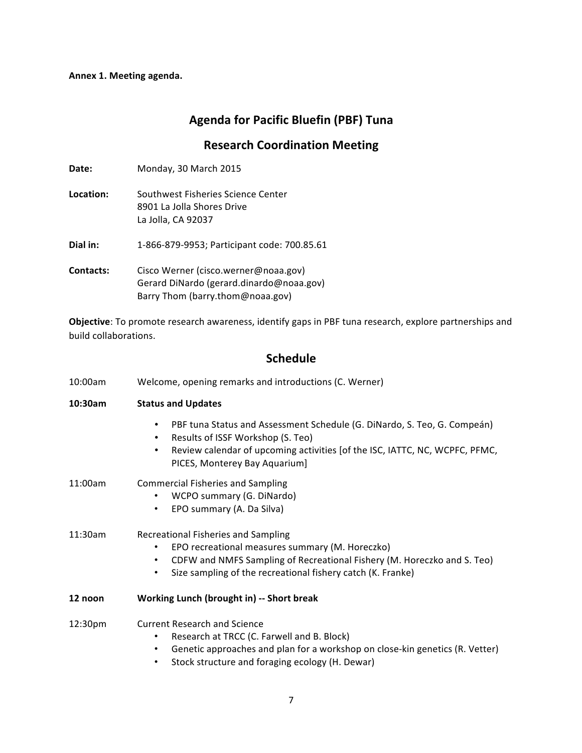## **Annex 1. Meeting agenda.**

# **Agenda for Pacific Bluefin (PBF) Tuna**

## **Research Coordination Meeting**

| <b>Date:</b>     | Monday, 30 March 2015                                                                                                |
|------------------|----------------------------------------------------------------------------------------------------------------------|
| Location:        | Southwest Eisheries Science Center<br>8901 La Jolla Shores Drive<br>La Jolla, CA 92037                               |
| Dial in:         | 1-866-879-9953; Participant code: 700.85.61                                                                          |
| <b>Contacts:</b> | Cisco Werner (cisco.werner@noaa.gov)<br>Gerard DiNardo (gerard.dinardo@noaa.gov)<br>Barry Thom (barry.thom@noaa.gov) |

**Objective**: To promote research awareness, identify gaps in PBF tuna research, explore partnerships and build collaborations.

# **Schedule**

| 10:00am | Welcome, opening remarks and introductions (C. Werner)                                                                                                                                                                                               |  |
|---------|------------------------------------------------------------------------------------------------------------------------------------------------------------------------------------------------------------------------------------------------------|--|
| 10:30am | <b>Status and Updates</b>                                                                                                                                                                                                                            |  |
|         | PBF tuna Status and Assessment Schedule (G. DiNardo, S. Teo, G. Compeán)<br>$\bullet$<br>Results of ISSF Workshop (S. Teo)<br>٠<br>Review calendar of upcoming activities [of the ISC, IATTC, NC, WCPFC, PFMC,<br>٠<br>PICES, Monterey Bay Aquarium] |  |
| 11:00am | <b>Commercial Fisheries and Sampling</b><br>WCPO summary (G. DiNardo)<br>EPO summary (A. Da Silva)<br>$\bullet$                                                                                                                                      |  |
| 11:30am | Recreational Fisheries and Sampling<br>EPO recreational measures summary (M. Horeczko)<br>CDFW and NMFS Sampling of Recreational Fishery (M. Horeczko and S. Teo)<br>Size sampling of the recreational fishery catch (K. Franke)<br>$\bullet$        |  |
| 12 noon | Working Lunch (brought in) -- Short break                                                                                                                                                                                                            |  |
| 12:30pm | <b>Current Research and Science</b><br>Research at TRCC (C. Farwell and B. Block)<br>Genetic approaches and plan for a workshop on close-kin genetics (R. Vetter)<br>Stock structure and foraging ecology (H. Dewar)<br>$\bullet$                    |  |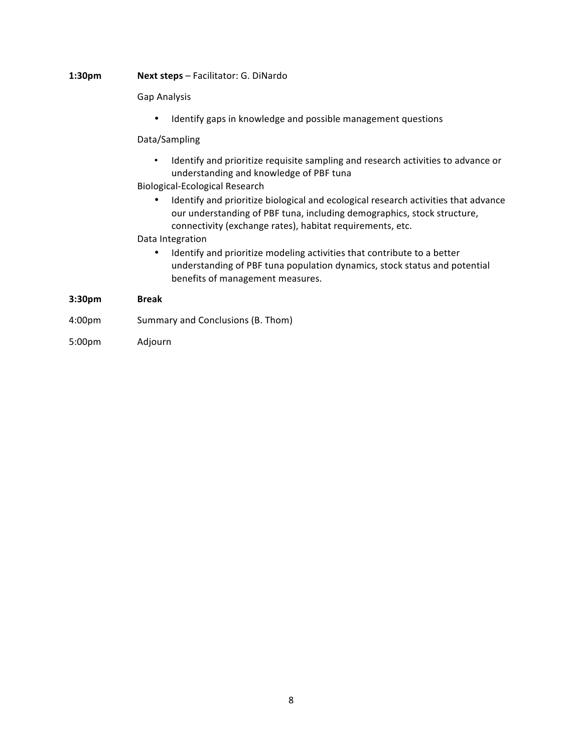#### **1:30pm Next steps** – Facilitator: G. DiNardo

Gap Analysis

• Identify gaps in knowledge and possible management questions

#### Data/Sampling

• Identify and prioritize requisite sampling and research activities to advance or understanding and knowledge of PBF tuna

## Biological-Ecological Research

• Identify and prioritize biological and ecological research activities that advance our understanding of PBF tuna, including demographics, stock structure, connectivity (exchange rates), habitat requirements, etc.

#### Data Integration

• Identify and prioritize modeling activities that contribute to a better understanding of PBF tuna population dynamics, stock status and potential benefits of management measures.

## **3:30pm Break**

- 4:00pm Summary and Conclusions (B. Thom)
- 5:00pm Adjourn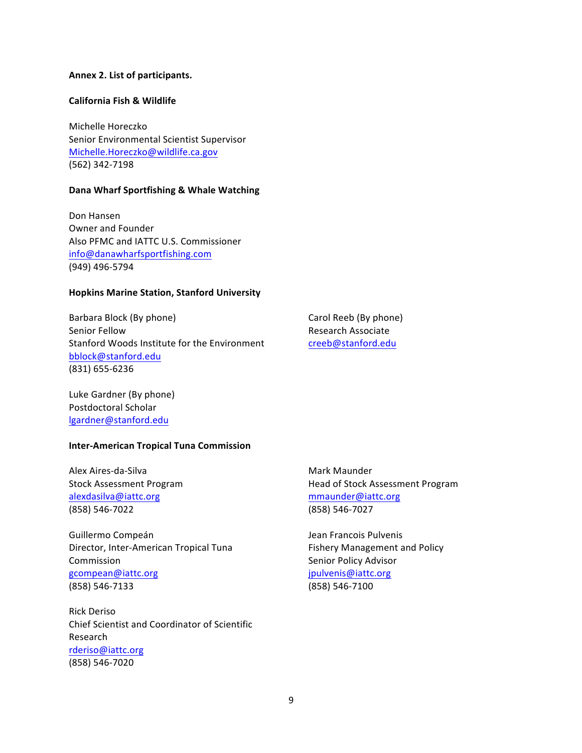#### **Annex 2. List of participants.**

#### **California Fish & Wildlife**

Michelle Horeczko Senior Environmental Scientist Supervisor Michelle.Horeczko@wildlife.ca.gov (562) 342-7198

#### **Dana Wharf Sportfishing & Whale Watching**

Don Hansen Owner and Founder Also PFMC and IATTC U.S. Commissioner info@danawharfsportfishing.com (949) 496-5794

#### **Hopkins Marine Station, Stanford University**

Barbara Block (By phone) Senior Fellow Stanford Woods Institute for the Environment bblock@stanford.edu (831) 655-6236

Carol Reeb (By phone) Research Associate creeb@stanford.edu

Luke Gardner (By phone) Postdoctoral Scholar lgardner@stanford.edu

#### **Inter-American Tropical Tuna Commission**

Alex Aires-da-Silva Stock Assessment Program alexdasilva@iattc.org (858) 546-7022

Guillermo Compeán Director, Inter-American Tropical Tuna Commission gcompean@iattc.org (858) 546-7133

Rick Deriso Chief Scientist and Coordinator of Scientific Research rderiso@iattc.org (858) 546-7020

Mark Maunder Head of Stock Assessment Program mmaunder@iattc.org (858) 546-7027

Jean Francois Pulvenis Fishery Management and Policy Senior Policy Advisor jpulvenis@iattc.org (858) 546-7100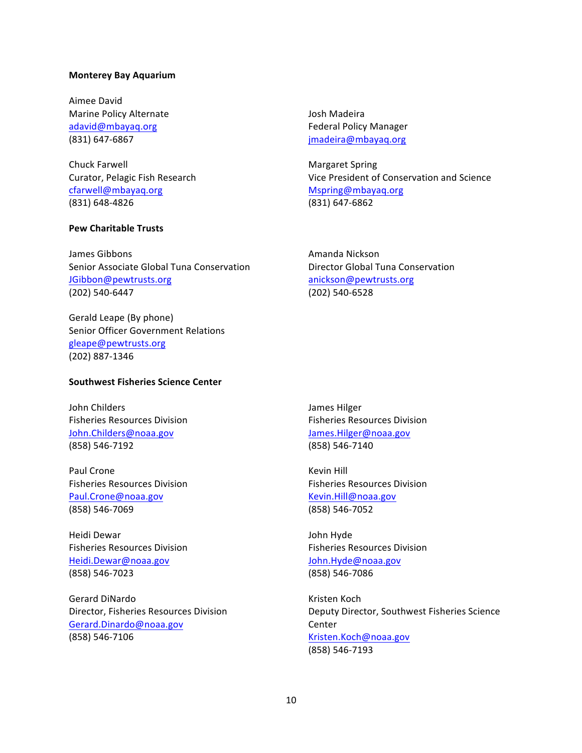#### **Monterey Bay Aquarium**

Aimee David Marine Policy Alternate adavid@mbayaq.org (831) 647-6867

Chuck Farwell Curator, Pelagic Fish Research cfarwell@mbayaq.org (831) 648-4826

#### **Pew Charitable Trusts**

James Gibbons Senior Associate Global Tuna Conservation JGibbon@pewtrusts.org (202) 540-6447

Gerald Leape (By phone) Senior Officer Government Relations gleape@pewtrusts.org (202) 887-1346

#### **Southwest Fisheries Science Center**

John Childers Fisheries Resources Division John.Childers@noaa.gov (858) 546-7192

Paul Crone Fisheries Resources Division Paul.Crone@noaa.gov (858) 546-7069

Heidi Dewar Fisheries Resources Division Heidi.Dewar@noaa.gov (858) 546-7023

Gerard DiNardo Director, Fisheries Resources Division Gerard.Dinardo@noaa.gov (858) 546-7106

Josh Madeira Federal Policy Manager jmadeira@mbayaq.org

Margaret Spring Vice President of Conservation and Science Mspring@mbayaq.org (831) 647-6862

Amanda Nickson Director Global Tuna Conservation anickson@pewtrusts.org (202) 540-6528

James Hilger Fisheries Resources Division James.Hilger@noaa.gov (858) 546-7140

**Kevin Hill** Fisheries Resources Division Kevin.Hill@noaa.gov (858) 546-7052

John Hyde Fisheries Resources Division John.Hyde@noaa.gov (858) 546-7086

Kristen Koch Deputy Director, Southwest Fisheries Science Center Kristen.Koch@noaa.gov (858) 546-7193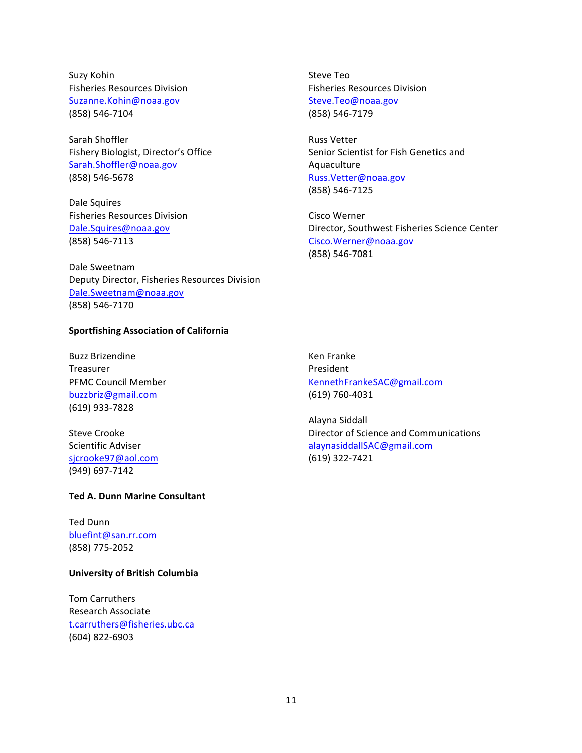Suzy Kohin Fisheries Resources Division Suzanne.Kohin@noaa.gov (858) 546-7104

Sarah Shoffler Fishery Biologist, Director's Office Sarah.Shoffler@noaa.gov (858) 546-5678

Dale Squires Fisheries Resources Division Dale.Squires@noaa.gov (858) 546-7113

Dale Sweetnam Deputy Director, Fisheries Resources Division Dale.Sweetnam@noaa.gov (858) 546-7170

#### **Sportfishing Association of California**

Buzz Brizendine Treasurer PFMC Council Member buzzbriz@gmail.com (619) 933-7828

**Steve Crooke** Scientific Adviser sjcrooke97@aol.com (949) 697-7142

#### **Ted A. Dunn Marine Consultant**

Ted Dunn bluefint@san.rr.com (858) 775-2052

#### **University of British Columbia**

Tom Carruthers Research Associate t.carruthers@fisheries.ubc.ca (604) 822-6903

Steve Teo Fisheries Resources Division Steve.Teo@noaa.gov (858) 546-7179

Russ Vetter Senior Scientist for Fish Genetics and Aquaculture Russ.Vetter@noaa.gov (858) 546-7125

Cisco Werner Director, Southwest Fisheries Science Center Cisco.Werner@noaa.gov (858) 546-7081

Ken Franke President KennethFrankeSAC@gmail.com (619) 760-4031

Alayna Siddall Director of Science and Communications alaynasiddallSAC@gmail.com (619) 322-7421